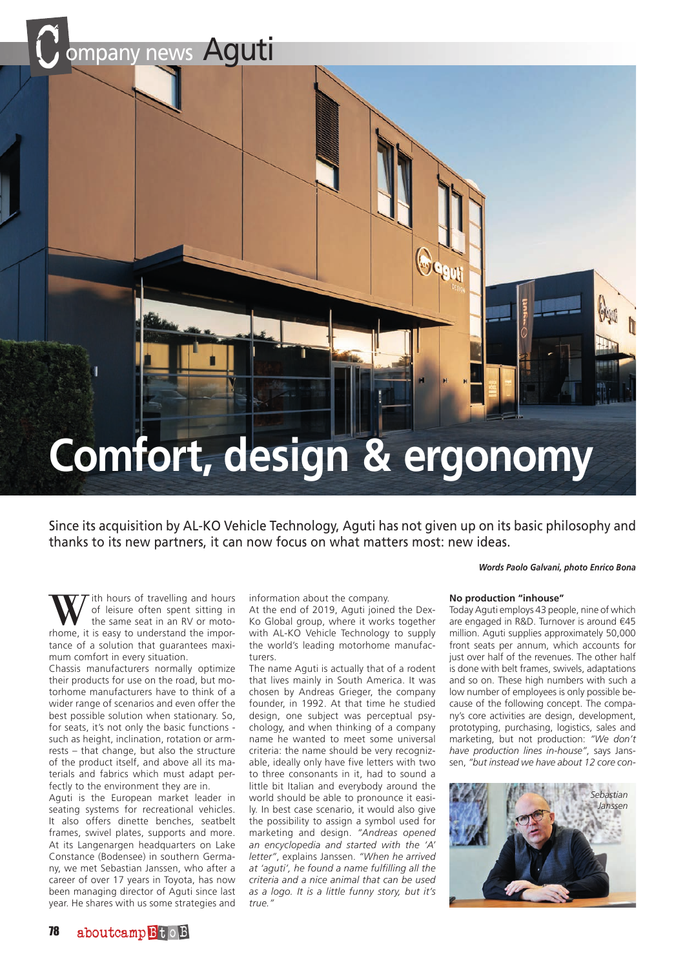

# **Comfort, design & ergonomy**

Since its acquisition by AL-KO Vehicle Technology, Aguti has not given up on its basic philosophy and thanks to its new partners, it can now focus on what matters most: new ideas.

*Words Paolo Galvani, photo Enrico Bona*

W ith hours of travelling and hours<br>the same seat in an RV or moto-<br>thome it is easy to understand the imporof leisure often spent sitting in the same seat in an RV or motorhome, it is easy to understand the importance of a solution that guarantees maximum comfort in every situation.

Chassis manufacturers normally optimize their products for use on the road, but motorhome manufacturers have to think of a wider range of scenarios and even offer the best possible solution when stationary. So, for seats, it's not only the basic functions such as height, inclination, rotation or armrests – that change, but also the structure of the product itself, and above all its materials and fabrics which must adapt perfectly to the environment they are in.

Aguti is the European market leader in seating systems for recreational vehicles. It also offers dinette benches, seatbelt frames, swivel plates, supports and more. At its Langenargen headquarters on Lake Constance (Bodensee) in southern Germany, we met Sebastian Janssen, who after a career of over 17 years in Toyota, has now been managing director of Aguti since last year. He shares with us some strategies and

information about the company.

At the end of 2019, Aguti joined the Dex-Ko Global group, where it works together with AL-KO Vehicle Technology to supply the world's leading motorhome manufacturers.

The name Aguti is actually that of a rodent that lives mainly in South America. It was chosen by Andreas Grieger, the company founder, in 1992. At that time he studied design, one subject was perceptual psychology, and when thinking of a company name he wanted to meet some universal criteria: the name should be very recognizable, ideally only have five letters with two to three consonants in it, had to sound a little bit Italian and everybody around the world should be able to pronounce it easily. In best case scenario, it would also give the possibility to assign a symbol used for marketing and design. *"Andreas opened an encyclopedia and started with the 'A' letter"*, explains Janssen. *"When he arrived at 'aguti', he found a name fulfilling all the criteria and a nice animal that can be used as a logo. It is a little funny story, but it's true."*

### **No production "inhouse"**

Today Aguti employs 43 people, nine of which are engaged in R&D. Turnover is around €45 million. Aguti supplies approximately 50,000 front seats per annum, which accounts for just over half of the revenues. The other half is done with belt frames, swivels, adaptations and so on. These high numbers with such a low number of employees is only possible because of the following concept. The company's core activities are design, development, prototyping, purchasing, logistics, sales and marketing, but not production: *"We don't have production lines in-house"*, says Janssen, *"but instead we have about 12 core con-*